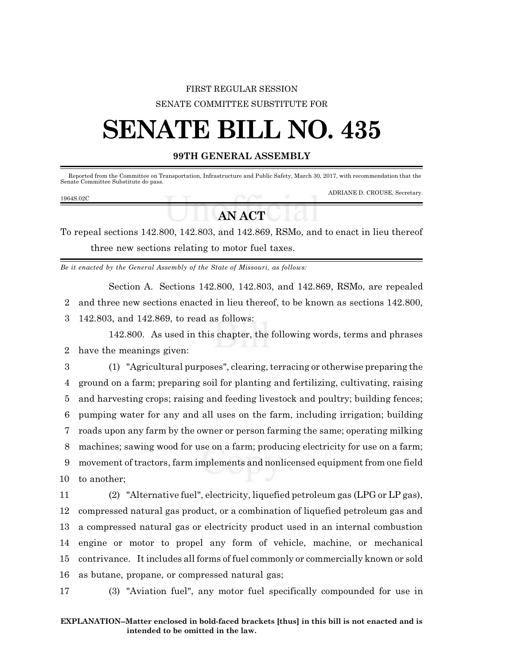### FIRST REGULAR SESSION SENATE COMMITTEE SUBSTITUTE FOR

# **SENATE BILL NO. 435**

### **99TH GENERAL ASSEMBLY**

| Senate Committee Substitute do pass. |  | Reported from the Committee on Transportation, Infrastructure and Public Safety, March 30, 2017, with recommendation that the |
|--------------------------------------|--|-------------------------------------------------------------------------------------------------------------------------------|
| 1964S.02C                            |  | ADRIANE D. CROUSE, Secretary.                                                                                                 |

## **AN ACT**

To repeal sections 142.800, 142.803, and 142.869, RSMo, and to enact in lieu thereof three new sections relating to motor fuel taxes.

*Be it enacted by the General Assembly of the State of Missouri, as follows:*

Section A. Sections 142.800, 142.803, and 142.869, RSMo, are repealed

2 and three new sections enacted in lieu thereof, to be known as sections 142.800,

3 142.803, and 142.869, to read as follows:

142.800. As used in this chapter, the following words, terms and phrases 2 have the meanings given:

3 (1) "Agricultural purposes", clearing, terracing or otherwise preparing the ground on a farm; preparing soil for planting and fertilizing, cultivating, raising and harvesting crops; raising and feeding livestock and poultry; building fences; pumping water for any and all uses on the farm, including irrigation; building roads upon any farm by the owner or person farming the same; operating milking machines; sawing wood for use on a farm; producing electricity for use on a farm; movement of tractors, farm implements and nonlicensed equipment from one field to another;

 (2) "Alternative fuel", electricity, liquefied petroleum gas (LPG or LP gas), compressed natural gas product, or a combination of liquefied petroleum gas and a compressed natural gas or electricity product used in an internal combustion engine or motor to propel any form of vehicle, machine, or mechanical contrivance. It includes all forms of fuel commonly or commercially known or sold as butane, propane, or compressed natural gas;

17 (3) "Aviation fuel", any motor fuel specifically compounded for use in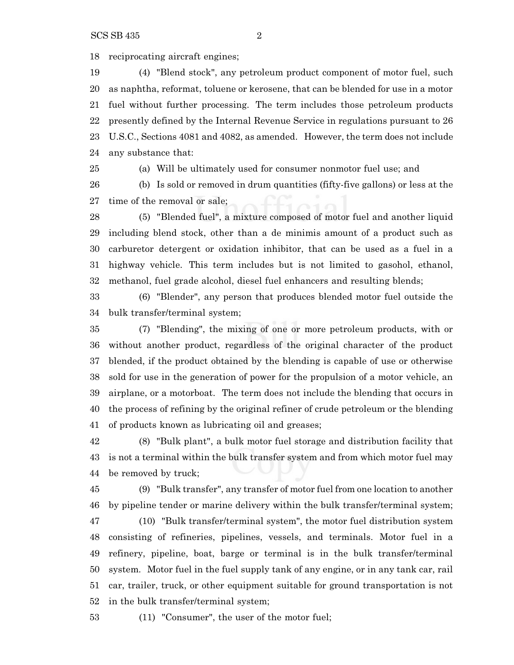reciprocating aircraft engines;

 (4) "Blend stock", any petroleum product component of motor fuel, such as naphtha, reformat, toluene or kerosene, that can be blended for use in a motor fuel without further processing. The term includes those petroleum products presently defined by the Internal Revenue Service in regulations pursuant to 26 U.S.C., Sections 4081 and 4082, as amended. However, the term does not include any substance that:

 (a) Will be ultimately used for consumer nonmotor fuel use; and (b) Is sold or removed in drum quantities (fifty-five gallons) or less at the time of the removal or sale;

 (5) "Blended fuel", a mixture composed of motor fuel and another liquid including blend stock, other than a de minimis amount of a product such as carburetor detergent or oxidation inhibitor, that can be used as a fuel in a highway vehicle. This term includes but is not limited to gasohol, ethanol, methanol, fuel grade alcohol, diesel fuel enhancers and resulting blends;

 (6) "Blender", any person that produces blended motor fuel outside the bulk transfer/terminal system;

 (7) "Blending", the mixing of one or more petroleum products, with or without another product, regardless of the original character of the product blended, if the product obtained by the blending is capable of use or otherwise sold for use in the generation of power for the propulsion of a motor vehicle, an airplane, or a motorboat. The term does not include the blending that occurs in the process of refining by the original refiner of crude petroleum or the blending of products known as lubricating oil and greases;

 (8) "Bulk plant", a bulk motor fuel storage and distribution facility that is not a terminal within the bulk transfer system and from which motor fuel may be removed by truck;

 (9) "Bulk transfer", any transfer of motor fuel from one location to another by pipeline tender or marine delivery within the bulk transfer/terminal system;

 (10) "Bulk transfer/terminal system", the motor fuel distribution system consisting of refineries, pipelines, vessels, and terminals. Motor fuel in a refinery, pipeline, boat, barge or terminal is in the bulk transfer/terminal system. Motor fuel in the fuel supply tank of any engine, or in any tank car, rail car, trailer, truck, or other equipment suitable for ground transportation is not in the bulk transfer/terminal system;

(11) "Consumer", the user of the motor fuel;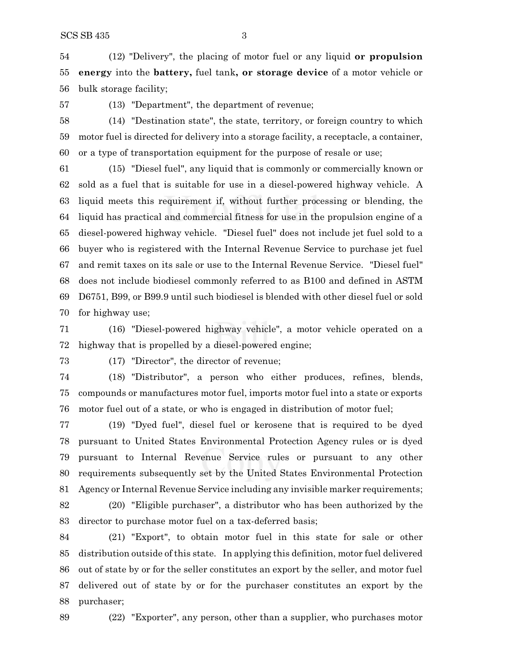(12) "Delivery", the placing of motor fuel or any liquid **or propulsion energy** into the **battery,** fuel tank**, or storage device** of a motor vehicle or bulk storage facility;

(13) "Department", the department of revenue;

 (14) "Destination state", the state, territory, or foreign country to which motor fuel is directed for delivery into a storage facility, a receptacle, a container, or a type of transportation equipment for the purpose of resale or use;

 (15) "Diesel fuel", any liquid that is commonly or commercially known or sold as a fuel that is suitable for use in a diesel-powered highway vehicle. A liquid meets this requirement if, without further processing or blending, the liquid has practical and commercial fitness for use in the propulsion engine of a diesel-powered highway vehicle. "Diesel fuel" does not include jet fuel sold to a buyer who is registered with the Internal Revenue Service to purchase jet fuel and remit taxes on its sale or use to the Internal Revenue Service. "Diesel fuel" does not include biodiesel commonly referred to as B100 and defined in ASTM D6751, B99, or B99.9 until such biodiesel is blended with other diesel fuel or sold for highway use;

 (16) "Diesel-powered highway vehicle", a motor vehicle operated on a highway that is propelled by a diesel-powered engine;

(17) "Director", the director of revenue;

 (18) "Distributor", a person who either produces, refines, blends, compounds or manufactures motor fuel, imports motor fuel into a state or exports motor fuel out of a state, or who is engaged in distribution of motor fuel;

 (19) "Dyed fuel", diesel fuel or kerosene that is required to be dyed pursuant to United States Environmental Protection Agency rules or is dyed pursuant to Internal Revenue Service rules or pursuant to any other requirements subsequently set by the United States Environmental Protection Agency or Internal Revenue Service including any invisible marker requirements;

 (20) "Eligible purchaser", a distributor who has been authorized by the director to purchase motor fuel on a tax-deferred basis;

 (21) "Export", to obtain motor fuel in this state for sale or other distribution outside of this state. In applying this definition, motor fuel delivered out of state by or for the seller constitutes an export by the seller, and motor fuel delivered out of state by or for the purchaser constitutes an export by the purchaser;



(22) "Exporter", any person, other than a supplier, who purchases motor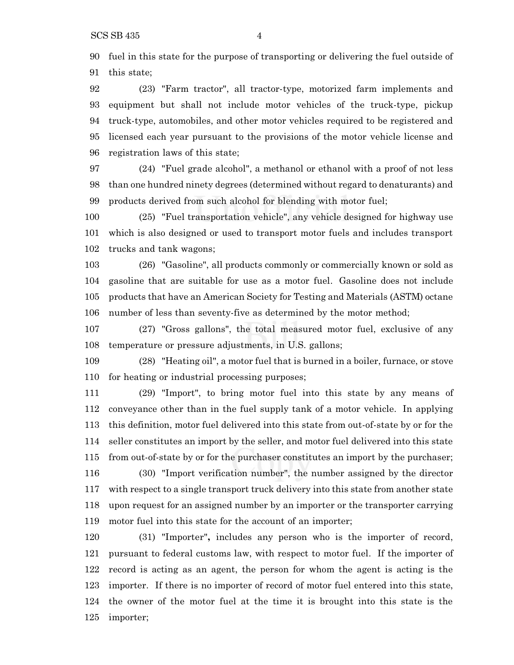fuel in this state for the purpose of transporting or delivering the fuel outside of this state;

 (23) "Farm tractor", all tractor-type, motorized farm implements and equipment but shall not include motor vehicles of the truck-type, pickup truck-type, automobiles, and other motor vehicles required to be registered and licensed each year pursuant to the provisions of the motor vehicle license and registration laws of this state;

 (24) "Fuel grade alcohol", a methanol or ethanol with a proof of not less than one hundred ninety degrees (determined without regard to denaturants) and products derived from such alcohol for blending with motor fuel;

 (25) "Fuel transportation vehicle", any vehicle designed for highway use which is also designed or used to transport motor fuels and includes transport trucks and tank wagons;

 (26) "Gasoline", all products commonly or commercially known or sold as gasoline that are suitable for use as a motor fuel. Gasoline does not include products that have an American Society for Testing and Materials (ASTM) octane number of less than seventy-five as determined by the motor method;

 (27) "Gross gallons", the total measured motor fuel, exclusive of any temperature or pressure adjustments, in U.S. gallons;

 (28) "Heating oil", a motor fuel that is burned in a boiler, furnace, or stove for heating or industrial processing purposes;

 (29) "Import", to bring motor fuel into this state by any means of conveyance other than in the fuel supply tank of a motor vehicle. In applying this definition, motor fuel delivered into this state from out-of-state by or for the seller constitutes an import by the seller, and motor fuel delivered into this state from out-of-state by or for the purchaser constitutes an import by the purchaser; (30) "Import verification number", the number assigned by the director with respect to a single transport truck delivery into this state from another state upon request for an assigned number by an importer or the transporter carrying motor fuel into this state for the account of an importer;

 (31) "Importer"**,** includes any person who is the importer of record, pursuant to federal customs law, with respect to motor fuel. If the importer of record is acting as an agent, the person for whom the agent is acting is the importer. If there is no importer of record of motor fuel entered into this state, the owner of the motor fuel at the time it is brought into this state is the importer;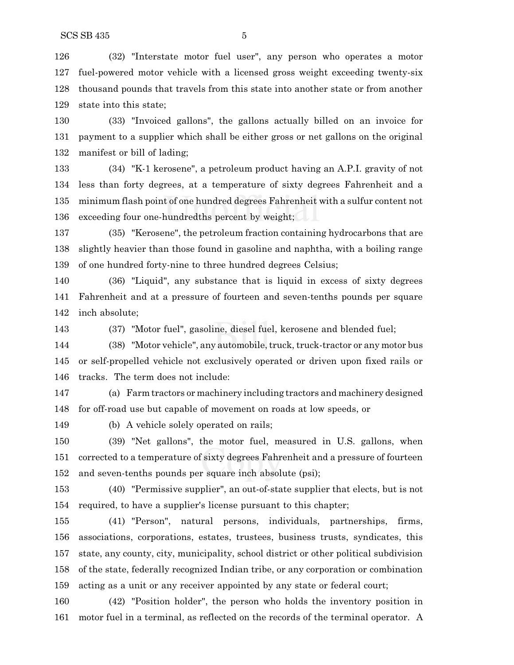(32) "Interstate motor fuel user", any person who operates a motor fuel-powered motor vehicle with a licensed gross weight exceeding twenty-six

 thousand pounds that travels from this state into another state or from another state into this state;

 (33) "Invoiced gallons", the gallons actually billed on an invoice for payment to a supplier which shall be either gross or net gallons on the original manifest or bill of lading;

 (34) "K-1 kerosene", a petroleum product having an A.P.I. gravity of not less than forty degrees, at a temperature of sixty degrees Fahrenheit and a minimum flash point of one hundred degrees Fahrenheit with a sulfur content not exceeding four one-hundredths percent by weight;

 (35) "Kerosene", the petroleum fraction containing hydrocarbons that are slightly heavier than those found in gasoline and naphtha, with a boiling range of one hundred forty-nine to three hundred degrees Celsius;

 (36) "Liquid", any substance that is liquid in excess of sixty degrees Fahrenheit and at a pressure of fourteen and seven-tenths pounds per square inch absolute;

(37) "Motor fuel", gasoline, diesel fuel, kerosene and blended fuel;

144 (38) "Motor vehicle", any automobile, truck, truck-tractor or any motor bus or self-propelled vehicle not exclusively operated or driven upon fixed rails or tracks. The term does not include:

 (a) Farm tractors or machinery including tractors and machinery designed for off-road use but capable of movement on roads at low speeds, or

(b) A vehicle solely operated on rails;

 (39) "Net gallons", the motor fuel, measured in U.S. gallons, when corrected to a temperature of sixty degrees Fahrenheit and a pressure of fourteen and seven-tenths pounds per square inch absolute (psi);

 (40) "Permissive supplier", an out-of-state supplier that elects, but is not required, to have a supplier's license pursuant to this chapter;

 (41) "Person", natural persons, individuals, partnerships, firms, associations, corporations, estates, trustees, business trusts, syndicates, this state, any county, city, municipality, school district or other political subdivision of the state, federally recognized Indian tribe, or any corporation or combination acting as a unit or any receiver appointed by any state or federal court;

 (42) "Position holder", the person who holds the inventory position in motor fuel in a terminal, as reflected on the records of the terminal operator. A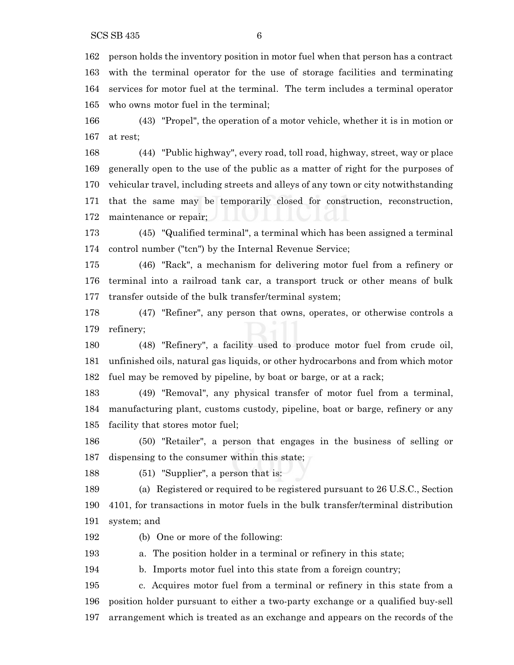person holds the inventory position in motor fuel when that person has a contract with the terminal operator for the use of storage facilities and terminating services for motor fuel at the terminal. The term includes a terminal operator who owns motor fuel in the terminal;

 (43) "Propel", the operation of a motor vehicle, whether it is in motion or at rest;

 (44) "Public highway", every road, toll road, highway, street, way or place generally open to the use of the public as a matter of right for the purposes of vehicular travel, including streets and alleys of any town or city notwithstanding that the same may be temporarily closed for construction, reconstruction, maintenance or repair;

 (45) "Qualified terminal", a terminal which has been assigned a terminal control number ("tcn") by the Internal Revenue Service;

 (46) "Rack", a mechanism for delivering motor fuel from a refinery or terminal into a railroad tank car, a transport truck or other means of bulk transfer outside of the bulk transfer/terminal system;

 (47) "Refiner", any person that owns, operates, or otherwise controls a refinery;

 (48) "Refinery", a facility used to produce motor fuel from crude oil, unfinished oils, natural gas liquids, or other hydrocarbons and from which motor fuel may be removed by pipeline, by boat or barge, or at a rack;

 (49) "Removal", any physical transfer of motor fuel from a terminal, manufacturing plant, customs custody, pipeline, boat or barge, refinery or any facility that stores motor fuel;

 (50) "Retailer", a person that engages in the business of selling or dispensing to the consumer within this state;

(51) "Supplier", a person that is:

 (a) Registered or required to be registered pursuant to 26 U.S.C., Section 4101, for transactions in motor fuels in the bulk transfer/terminal distribution system; and

(b) One or more of the following:

a. The position holder in a terminal or refinery in this state;

b. Imports motor fuel into this state from a foreign country;

 c. Acquires motor fuel from a terminal or refinery in this state from a position holder pursuant to either a two-party exchange or a qualified buy-sell arrangement which is treated as an exchange and appears on the records of the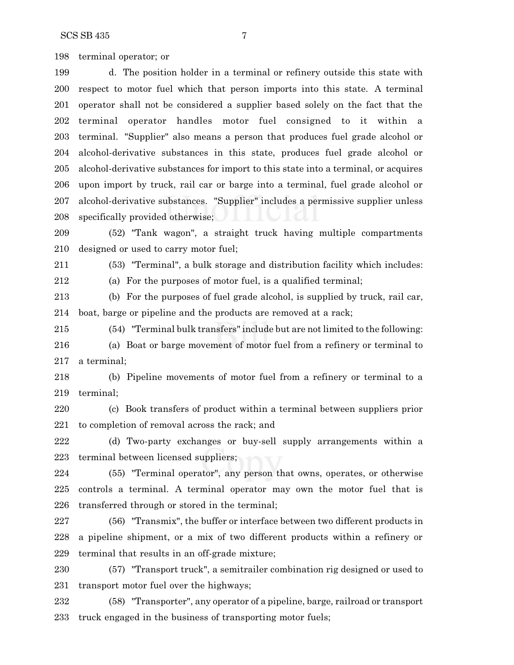terminal operator; or

 d. The position holder in a terminal or refinery outside this state with respect to motor fuel which that person imports into this state. A terminal operator shall not be considered a supplier based solely on the fact that the terminal operator handles motor fuel consigned to it within a terminal. "Supplier" also means a person that produces fuel grade alcohol or alcohol-derivative substances in this state, produces fuel grade alcohol or alcohol-derivative substances for import to this state into a terminal, or acquires upon import by truck, rail car or barge into a terminal, fuel grade alcohol or alcohol-derivative substances. "Supplier" includes a permissive supplier unless specifically provided otherwise;

 (52) "Tank wagon", a straight truck having multiple compartments designed or used to carry motor fuel;

(53) "Terminal", a bulk storage and distribution facility which includes:

(a) For the purposes of motor fuel, is a qualified terminal;

 (b) For the purposes of fuel grade alcohol, is supplied by truck, rail car, boat, barge or pipeline and the products are removed at a rack;

 (54) "Terminal bulk transfers" include but are not limited to the following: (a) Boat or barge movement of motor fuel from a refinery or terminal to a terminal;

 (b) Pipeline movements of motor fuel from a refinery or terminal to a terminal;

 (c) Book transfers of product within a terminal between suppliers prior to completion of removal across the rack; and

 (d) Two-party exchanges or buy-sell supply arrangements within a terminal between licensed suppliers;

 (55) "Terminal operator", any person that owns, operates, or otherwise controls a terminal. A terminal operator may own the motor fuel that is transferred through or stored in the terminal;

 (56) "Transmix", the buffer or interface between two different products in a pipeline shipment, or a mix of two different products within a refinery or terminal that results in an off-grade mixture;

 (57) "Transport truck", a semitrailer combination rig designed or used to transport motor fuel over the highways;

 (58) "Transporter", any operator of a pipeline, barge, railroad or transport truck engaged in the business of transporting motor fuels;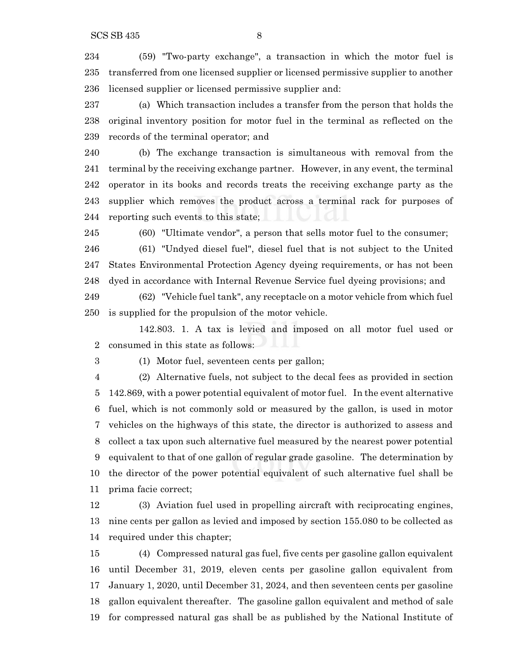(59) "Two-party exchange", a transaction in which the motor fuel is transferred from one licensed supplier or licensed permissive supplier to another licensed supplier or licensed permissive supplier and:

 (a) Which transaction includes a transfer from the person that holds the original inventory position for motor fuel in the terminal as reflected on the records of the terminal operator; and

 (b) The exchange transaction is simultaneous with removal from the terminal by the receiving exchange partner. However, in any event, the terminal operator in its books and records treats the receiving exchange party as the supplier which removes the product across a terminal rack for purposes of reporting such events to this state;

(60) "Ultimate vendor", a person that sells motor fuel to the consumer;

 (61) "Undyed diesel fuel", diesel fuel that is not subject to the United States Environmental Protection Agency dyeing requirements, or has not been dyed in accordance with Internal Revenue Service fuel dyeing provisions; and

 (62) "Vehicle fuel tank", any receptacle on a motor vehicle from which fuel is supplied for the propulsion of the motor vehicle.

142.803. 1. A tax is levied and imposed on all motor fuel used or consumed in this state as follows:

(1) Motor fuel, seventeen cents per gallon;

 (2) Alternative fuels, not subject to the decal fees as provided in section 142.869, with a power potential equivalent of motor fuel. In the event alternative fuel, which is not commonly sold or measured by the gallon, is used in motor vehicles on the highways of this state, the director is authorized to assess and collect a tax upon such alternative fuel measured by the nearest power potential equivalent to that of one gallon of regular grade gasoline. The determination by the director of the power potential equivalent of such alternative fuel shall be prima facie correct;

 (3) Aviation fuel used in propelling aircraft with reciprocating engines, nine cents per gallon as levied and imposed by section 155.080 to be collected as required under this chapter;

 (4) Compressed natural gas fuel, five cents per gasoline gallon equivalent until December 31, 2019, eleven cents per gasoline gallon equivalent from January 1, 2020, until December 31, 2024, and then seventeen cents per gasoline gallon equivalent thereafter. The gasoline gallon equivalent and method of sale for compressed natural gas shall be as published by the National Institute of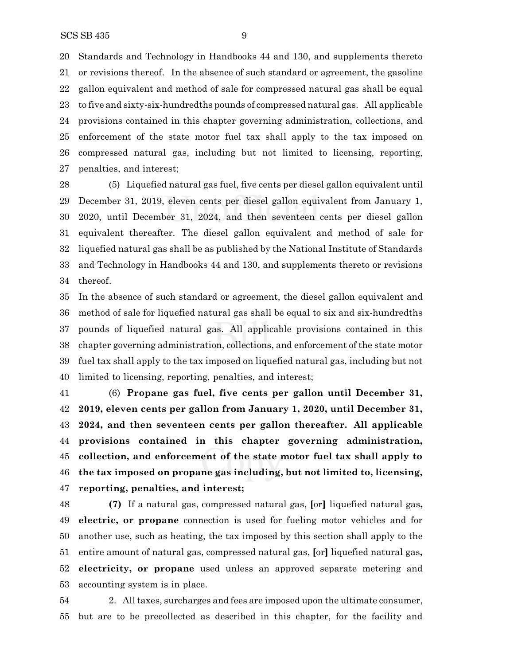Standards and Technology in Handbooks 44 and 130, and supplements thereto or revisions thereof. In the absence of such standard or agreement, the gasoline gallon equivalent and method of sale for compressed natural gas shall be equal to five and sixty-six-hundredths pounds of compressed natural gas. All applicable provisions contained in this chapter governing administration, collections, and enforcement of the state motor fuel tax shall apply to the tax imposed on compressed natural gas, including but not limited to licensing, reporting, penalties, and interest;

 (5) Liquefied natural gas fuel, five cents per diesel gallon equivalent until December 31, 2019, eleven cents per diesel gallon equivalent from January 1, 2020, until December 31, 2024, and then seventeen cents per diesel gallon equivalent thereafter. The diesel gallon equivalent and method of sale for liquefied natural gas shall be as published by the National Institute of Standards and Technology in Handbooks 44 and 130, and supplements thereto or revisions thereof.

 In the absence of such standard or agreement, the diesel gallon equivalent and method of sale for liquefied natural gas shall be equal to six and six-hundredths pounds of liquefied natural gas. All applicable provisions contained in this chapter governing administration, collections, and enforcement of the state motor fuel tax shall apply to the tax imposed on liquefied natural gas, including but not limited to licensing, reporting, penalties, and interest;

 (6) **Propane gas fuel, five cents per gallon until December 31, 2019, eleven cents per gallon from January 1, 2020, until December 31, 2024, and then seventeen cents per gallon thereafter. All applicable provisions contained in this chapter governing administration, collection, and enforcement of the state motor fuel tax shall apply to the tax imposed on propane gas including, but not limited to, licensing, reporting, penalties, and interest;**

 **(7)** If a natural gas, compressed natural gas, **[**or**]** liquefied natural gas**, electric, or propane** connection is used for fueling motor vehicles and for another use, such as heating, the tax imposed by this section shall apply to the entire amount of natural gas, compressed natural gas, **[**or**]** liquefied natural gas**, electricity, or propane** used unless an approved separate metering and accounting system is in place.

 2. Alltaxes, surcharges and fees are imposed upon the ultimate consumer, but are to be precollected as described in this chapter, for the facility and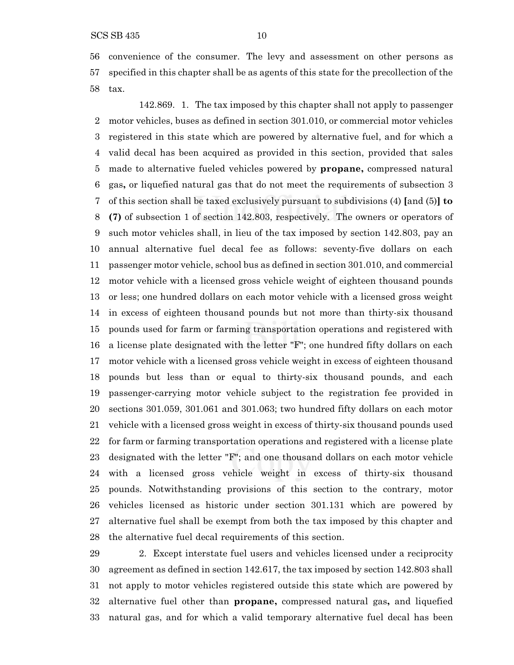convenience of the consumer. The levy and assessment on other persons as specified in this chapter shall be as agents of this state for the precollection of the tax.

142.869. 1. The tax imposed by this chapter shall not apply to passenger motor vehicles, buses as defined in section 301.010, or commercial motor vehicles registered in this state which are powered by alternative fuel, and for which a valid decal has been acquired as provided in this section, provided that sales made to alternative fueled vehicles powered by **propane,** compressed natural gas**,** or liquefied natural gas that do not meet the requirements of subsection 3 of this section shall be taxed exclusively pursuant to subdivisions (4) **[**and (5)**] to (7)** of subsection 1 of section 142.803, respectively. The owners or operators of such motor vehicles shall, in lieu of the tax imposed by section 142.803, pay an annual alternative fuel decal fee as follows: seventy-five dollars on each passenger motor vehicle, school bus as defined in section 301.010, and commercial motor vehicle with a licensed gross vehicle weight of eighteen thousand pounds or less; one hundred dollars on each motor vehicle with a licensed gross weight in excess of eighteen thousand pounds but not more than thirty-six thousand pounds used for farm or farming transportation operations and registered with a license plate designated with the letter "F"; one hundred fifty dollars on each motor vehicle with a licensed gross vehicle weight in excess of eighteen thousand pounds but less than or equal to thirty-six thousand pounds, and each passenger-carrying motor vehicle subject to the registration fee provided in sections 301.059, 301.061 and 301.063; two hundred fifty dollars on each motor vehicle with a licensed gross weight in excess of thirty-six thousand pounds used for farm or farming transportation operations and registered with a license plate designated with the letter "F"; and one thousand dollars on each motor vehicle with a licensed gross vehicle weight in excess of thirty-six thousand pounds. Notwithstanding provisions of this section to the contrary, motor vehicles licensed as historic under section 301.131 which are powered by alternative fuel shall be exempt from both the tax imposed by this chapter and the alternative fuel decal requirements of this section.

 2. Except interstate fuel users and vehicles licensed under a reciprocity agreement as defined in section 142.617, the tax imposed by section 142.803 shall not apply to motor vehicles registered outside this state which are powered by alternative fuel other than **propane,** compressed natural gas**,** and liquefied natural gas, and for which a valid temporary alternative fuel decal has been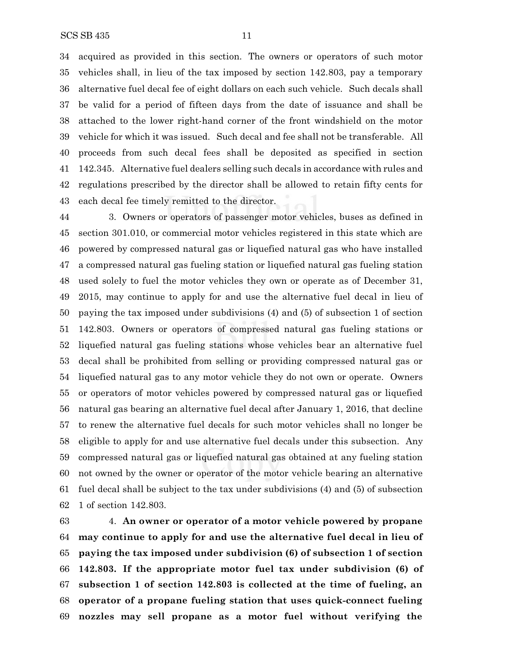acquired as provided in this section. The owners or operators of such motor vehicles shall, in lieu of the tax imposed by section 142.803, pay a temporary alternative fuel decal fee of eight dollars on each such vehicle. Such decals shall be valid for a period of fifteen days from the date of issuance and shall be attached to the lower right-hand corner of the front windshield on the motor vehicle for which it was issued. Such decal and fee shall not be transferable. All proceeds from such decal fees shall be deposited as specified in section 142.345. Alternative fuel dealers selling such decals in accordance with rules and regulations prescribed by the director shall be allowed to retain fifty cents for each decal fee timely remitted to the director.

 3. Owners or operators of passenger motor vehicles, buses as defined in section 301.010, or commercial motor vehicles registered in this state which are powered by compressed natural gas or liquefied natural gas who have installed a compressed natural gas fueling station or liquefied natural gas fueling station used solely to fuel the motor vehicles they own or operate as of December 31, 2015, may continue to apply for and use the alternative fuel decal in lieu of paying the tax imposed under subdivisions (4) and (5) of subsection 1 of section 142.803. Owners or operators of compressed natural gas fueling stations or liquefied natural gas fueling stations whose vehicles bear an alternative fuel decal shall be prohibited from selling or providing compressed natural gas or liquefied natural gas to any motor vehicle they do not own or operate. Owners or operators of motor vehicles powered by compressed natural gas or liquefied natural gas bearing an alternative fuel decal after January 1, 2016, that decline to renew the alternative fuel decals for such motor vehicles shall no longer be eligible to apply for and use alternative fuel decals under this subsection. Any compressed natural gas or liquefied natural gas obtained at any fueling station not owned by the owner or operator of the motor vehicle bearing an alternative fuel decal shall be subject to the tax under subdivisions (4) and (5) of subsection 1 of section 142.803.

 4. **An owner or operator of a motor vehicle powered by propane may continue to apply for and use the alternative fuel decal in lieu of paying the tax imposed under subdivision (6) of subsection 1 of section 142.803. If the appropriate motor fuel tax under subdivision (6) of subsection 1 of section 142.803 is collected at the time of fueling, an operator of a propane fueling station that uses quick-connect fueling nozzles may sell propane as a motor fuel without verifying the**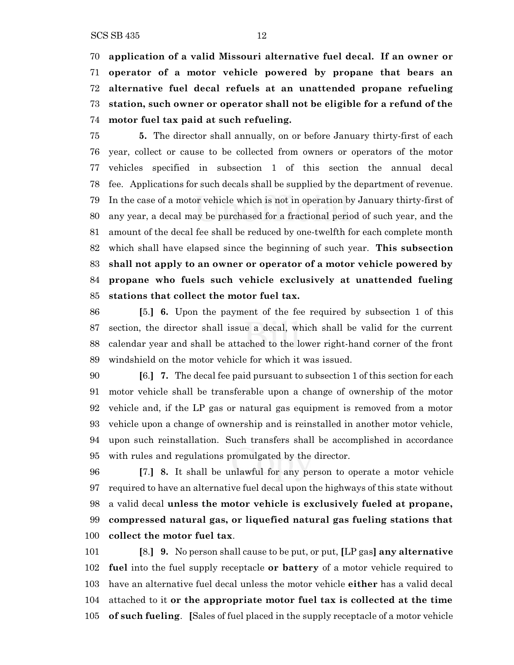**application of a valid Missouri alternative fuel decal. If an owner or operator of a motor vehicle powered by propane that bears an alternative fuel decal refuels at an unattended propane refueling station, such owner or operator shall not be eligible for a refund of the motor fuel tax paid at such refueling.**

 **5.** The director shall annually, on or before January thirty-first of each year, collect or cause to be collected from owners or operators of the motor vehicles specified in subsection 1 of this section the annual decal fee. Applications for such decals shall be supplied by the department of revenue. In the case of a motor vehicle which is not in operation by January thirty-first of any year, a decal may be purchased for a fractional period of such year, and the amount of the decal fee shall be reduced by one-twelfth for each complete month which shall have elapsed since the beginning of such year. **This subsection shall not apply to an owner or operator of a motor vehicle powered by propane who fuels such vehicle exclusively at unattended fueling stations that collect the motor fuel tax.**

 **[**5.**] 6.** Upon the payment of the fee required by subsection 1 of this section, the director shall issue a decal, which shall be valid for the current calendar year and shall be attached to the lower right-hand corner of the front windshield on the motor vehicle for which it was issued.

 **[**6.**] 7.** The decal fee paid pursuant to subsection 1 of this section for each motor vehicle shall be transferable upon a change of ownership of the motor vehicle and, if the LP gas or natural gas equipment is removed from a motor vehicle upon a change of ownership and is reinstalled in another motor vehicle, upon such reinstallation. Such transfers shall be accomplished in accordance with rules and regulations promulgated by the director.

 **[**7.**] 8.** It shall be unlawful for any person to operate a motor vehicle required to have an alternative fuel decal upon the highways of this state without a valid decal **unless the motor vehicle is exclusively fueled at propane, compressed natural gas, or liquefied natural gas fueling stations that collect the motor fuel tax**.

 **[**8.**] 9.** No person shall cause to be put, or put, **[**LP gas**] any alternative fuel** into the fuel supply receptacle **or battery** of a motor vehicle required to have an alternative fuel decal unless the motor vehicle **either** has a valid decal attached to it **or the appropriate motor fuel tax is collected at the time of such fueling**. **[**Sales of fuel placed in the supply receptacle of a motor vehicle